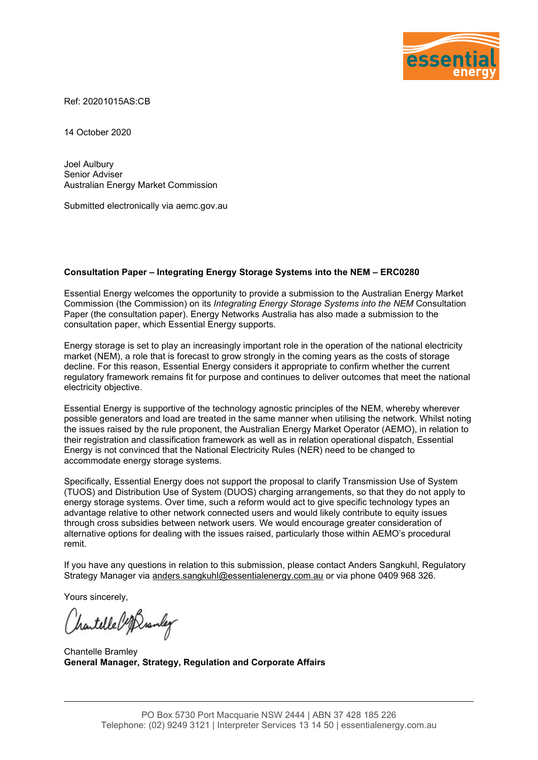

Ref: 20201015AS:CB

14 October 2020

Joel Aulbury Senior Adviser Australian Energy Market Commission

Submitted electronically via aemc.gov.au

#### Consultation Paper – Integrating Energy Storage Systems into the NEM – ERC0280

Essential Energy welcomes the opportunity to provide a submission to the Australian Energy Market Commission (the Commission) on its Integrating Energy Storage Systems into the NEM Consultation Paper (the consultation paper). Energy Networks Australia has also made a submission to the consultation paper, which Essential Energy supports.

Energy storage is set to play an increasingly important role in the operation of the national electricity market (NEM), a role that is forecast to grow strongly in the coming years as the costs of storage decline. For this reason, Essential Energy considers it appropriate to confirm whether the current regulatory framework remains fit for purpose and continues to deliver outcomes that meet the national electricity objective.

Essential Energy is supportive of the technology agnostic principles of the NEM, whereby wherever possible generators and load are treated in the same manner when utilising the network. Whilst noting the issues raised by the rule proponent, the Australian Energy Market Operator (AEMO), in relation to their registration and classification framework as well as in relation operational dispatch, Essential Energy is not convinced that the National Electricity Rules (NER) need to be changed to accommodate energy storage systems.

Specifically, Essential Energy does not support the proposal to clarify Transmission Use of System (TUOS) and Distribution Use of System (DUOS) charging arrangements, so that they do not apply to energy storage systems. Over time, such a reform would act to give specific technology types an advantage relative to other network connected users and would likely contribute to equity issues through cross subsidies between network users. We would encourage greater consideration of alternative options for dealing with the issues raised, particularly those within AEMO's procedural remit.

If you have any questions in relation to this submission, please contact Anders Sangkuhl, Regulatory Strategy Manager via anders.sangkuhl@essentialenergy.com.au or via phone 0409 968 326.

Yours sincerely,

hartelle left anley

Chantelle Bramley General Manager, Strategy, Regulation and Corporate Affairs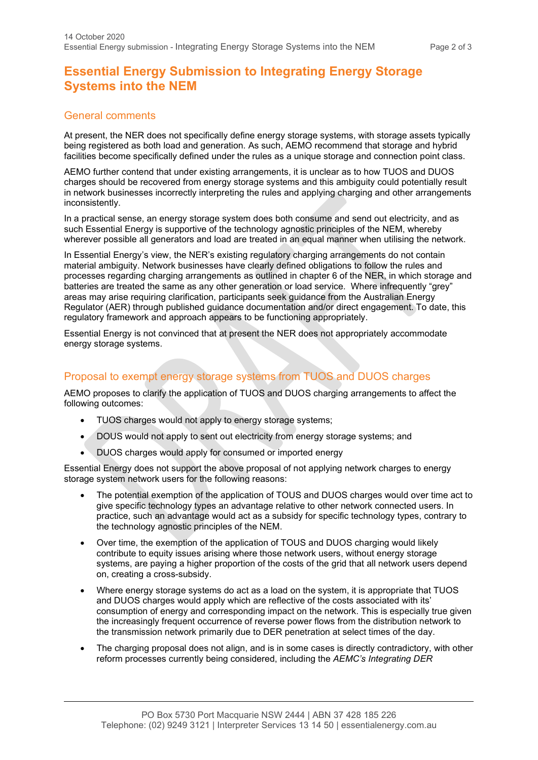# Essential Energy Submission to Integrating Energy Storage Systems into the NEM

### General comments

At present, the NER does not specifically define energy storage systems, with storage assets typically being registered as both load and generation. As such, AEMO recommend that storage and hybrid facilities become specifically defined under the rules as a unique storage and connection point class.

AEMO further contend that under existing arrangements, it is unclear as to how TUOS and DUOS charges should be recovered from energy storage systems and this ambiguity could potentially result in network businesses incorrectly interpreting the rules and applying charging and other arrangements inconsistently.

In a practical sense, an energy storage system does both consume and send out electricity, and as such Essential Energy is supportive of the technology agnostic principles of the NEM, whereby wherever possible all generators and load are treated in an equal manner when utilising the network.

In Essential Energy's view, the NER's existing regulatory charging arrangements do not contain material ambiguity. Network businesses have clearly defined obligations to follow the rules and processes regarding charging arrangements as outlined in chapter 6 of the NER, in which storage and batteries are treated the same as any other generation or load service. Where infrequently "grey" areas may arise requiring clarification, participants seek guidance from the Australian Energy Regulator (AER) through published guidance documentation and/or direct engagement. To date, this regulatory framework and approach appears to be functioning appropriately.

Essential Energy is not convinced that at present the NER does not appropriately accommodate energy storage systems.

## Proposal to exempt energy storage systems from TUOS and DUOS charges

AEMO proposes to clarify the application of TUOS and DUOS charging arrangements to affect the following outcomes:

- TUOS charges would not apply to energy storage systems;
- DOUS would not apply to sent out electricity from energy storage systems; and
- DUOS charges would apply for consumed or imported energy

Essential Energy does not support the above proposal of not applying network charges to energy storage system network users for the following reasons:

- The potential exemption of the application of TOUS and DUOS charges would over time act to give specific technology types an advantage relative to other network connected users. In practice, such an advantage would act as a subsidy for specific technology types, contrary to the technology agnostic principles of the NEM.
- Over time, the exemption of the application of TOUS and DUOS charging would likely contribute to equity issues arising where those network users, without energy storage systems, are paying a higher proportion of the costs of the grid that all network users depend on, creating a cross-subsidy.
- Where energy storage systems do act as a load on the system, it is appropriate that TUOS and DUOS charges would apply which are reflective of the costs associated with its' consumption of energy and corresponding impact on the network. This is especially true given the increasingly frequent occurrence of reverse power flows from the distribution network to the transmission network primarily due to DER penetration at select times of the day.
- The charging proposal does not align, and is in some cases is directly contradictory, with other reform processes currently being considered, including the AEMC's Integrating DER